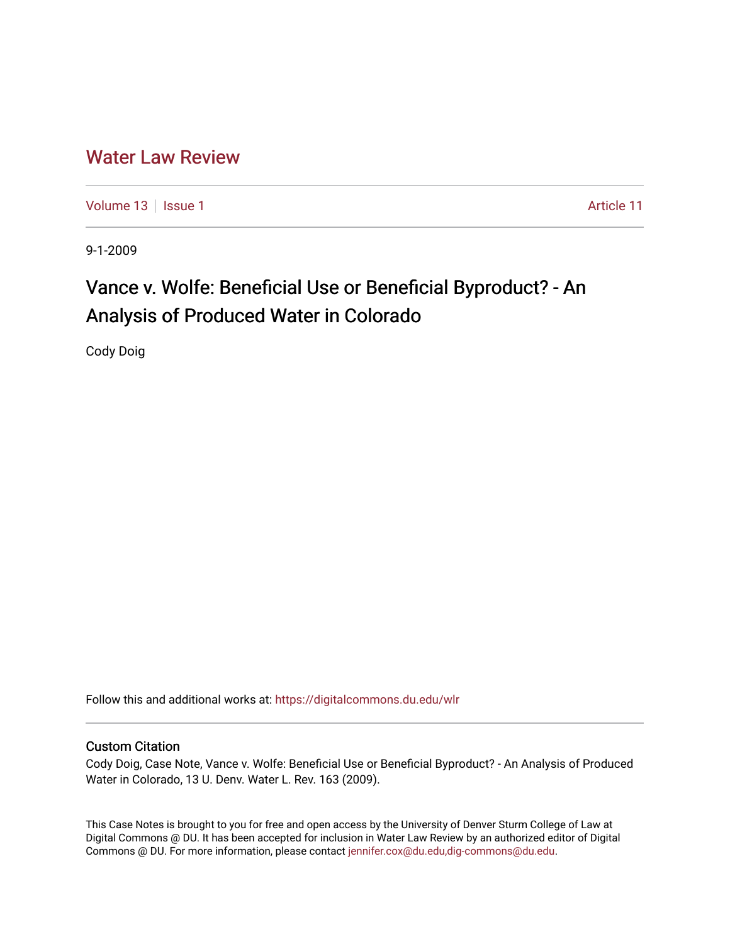# [Water Law Review](https://digitalcommons.du.edu/wlr)

[Volume 13](https://digitalcommons.du.edu/wlr/vol13) | [Issue 1](https://digitalcommons.du.edu/wlr/vol13/iss1) Article 11

9-1-2009

# Vance v. Wolfe: Beneficial Use or Beneficial Byproduct? - An Analysis of Produced Water in Colorado

Cody Doig

Follow this and additional works at: [https://digitalcommons.du.edu/wlr](https://digitalcommons.du.edu/wlr?utm_source=digitalcommons.du.edu%2Fwlr%2Fvol13%2Fiss1%2F11&utm_medium=PDF&utm_campaign=PDFCoverPages) 

# Custom Citation

Cody Doig, Case Note, Vance v. Wolfe: Beneficial Use or Beneficial Byproduct? - An Analysis of Produced Water in Colorado, 13 U. Denv. Water L. Rev. 163 (2009).

This Case Notes is brought to you for free and open access by the University of Denver Sturm College of Law at Digital Commons @ DU. It has been accepted for inclusion in Water Law Review by an authorized editor of Digital Commons @ DU. For more information, please contact [jennifer.cox@du.edu,dig-commons@du.edu.](mailto:jennifer.cox@du.edu,dig-commons@du.edu)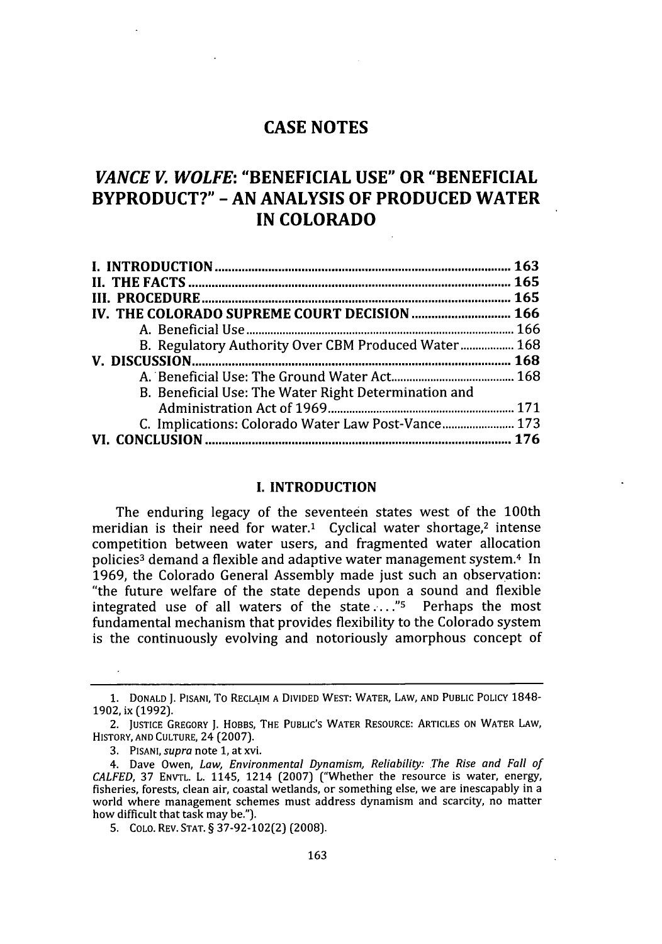# *VANCE V. WOLFE:* **"BENEFICIAL USE" OR "BENEFICIAL BYPRODUCT?" - AN ANALYSIS OF PRODUCED WATER IN COLORADO**

| C. Implications: Colorado Water Law Post-Vance 173 |                                                     |
|----------------------------------------------------|-----------------------------------------------------|
|                                                    |                                                     |
|                                                    | B. Regulatory Authority Over CBM Produced Water 168 |

# I. INTRODUCTION

The enduring legacy of the seventeen states west of the 100th meridian is their need for water.<sup>1</sup> Cyclical water shortage,<sup>2</sup> intense competition between water users, and fragmented water allocation policies<sup>3</sup> demand a flexible and adaptive water management system.<sup>4</sup> In **1969,** the Colorado General Assembly made just such an observation: "the future welfare of the state depends upon a sound and flexible integrated use of all waters of the state....."<sup>5</sup> Perhaps the most fundamental mechanism that provides flexibility to the Colorado system is the continuously evolving and notoriously amorphous concept of

5. COLO. REV. **STAT. §** 37-92-102(2) (2008).

**<sup>1.</sup>** DONALD J. PISANI, To RECLAIM **A** DIVIDED WEST: WATER, LAW, AND **PUBLIC** POLICY 1848- **1902,** ix (1992).

<sup>2.</sup> JUSTICE GREGORY J. HOBBS, THE **PUBLIC'S** WATER RESOURCE: ARTICLES ON WATER LAW, HISTORY, **AND** CULTURE, 24 (2007).

<sup>3.</sup> PISANI, supra note **1,** at xvi.

<sup>4.</sup> Dave Owen, *Law, Environmental Dynamism, Reliability: The Rise and Fall of CALFED,* **37** ENVTL. L. 1145, 1214 (2007) ("Whether the resource is water, energy, fisheries, forests, clean air, coastal wetlands, or something else, we are inescapably in a world where management schemes must address dynamism and scarcity, no matter how difficult that task may be.").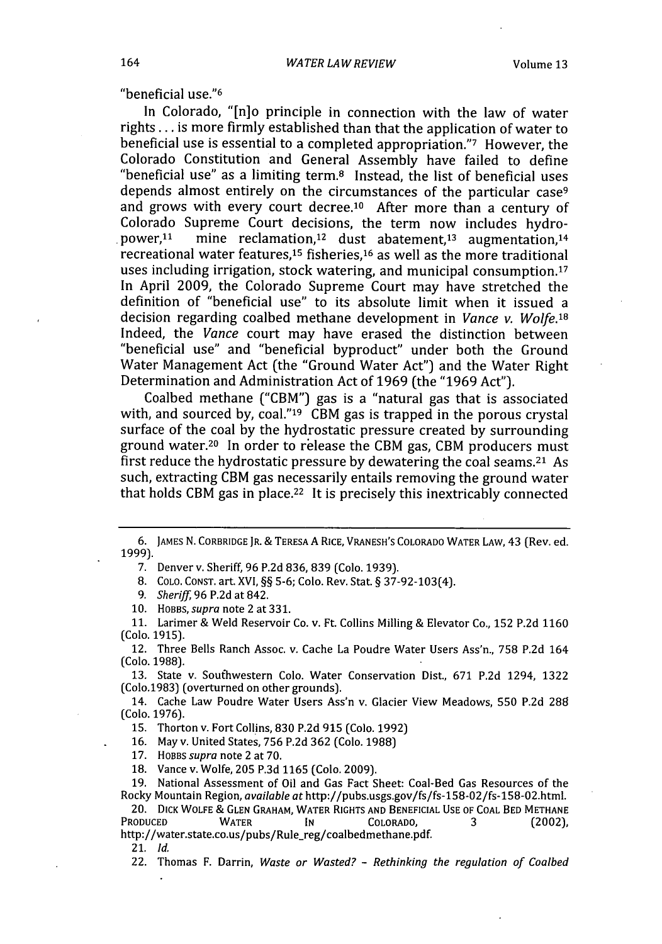"beneficial use."<sup>6</sup>

In Colorado, "[n]o principle in connection with the law of water rights **...** is more firmly established than that the application of water to beneficial use is essential to a completed appropriation."7 However, the Colorado Constitution and General Assembly have failed to define "beneficial use" as a limiting term. $8$  Instead, the list of beneficial uses depends almost entirely on the circumstances of the particular case<sup>9</sup> and grows with every court decree.<sup>10</sup> After more than a century of Colorado Supreme Court decisions, the term now includes hydropower,1 mine reclamation,<sup>12</sup> dust abatement,<sup>13</sup> augmentation,<sup>14</sup> recreational water features,<sup>15</sup> fisheries,<sup>16</sup> as well as the more traditional uses including irrigation, stock watering, and municipal consumption. $17$ In April 2009, the Colorado Supreme Court may have stretched the definition of "beneficial use" to its absolute limit when it issued a decision regarding coalbed methane development in *Vance v. Wolfe.18* Indeed, the *Vance* court may have erased the distinction between "beneficial use" and "beneficial byproduct" under both the Ground Water Management Act (the "Ground Water Act") and the Water Right Determination and Administration Act of 1969 (the "1969 Act").

Coalbed methane ("CBM") gas is a "natural gas that is associated with, and sourced by, coal."<sup>19</sup> CBM gas is trapped in the porous crystal surface of the coal by the hydrostatic pressure created by surrounding ground water.<sup>20</sup> In order to release the CBM gas, CBM producers must first reduce the hydrostatic pressure by dewatering the coal seams.21 As such, extracting CBM gas necessarily entails removing the ground water that holds CBM gas in place.<sup>22</sup> It is precisely this inextricably connected

7. Denver v. Sheriff, **96** P.2d **836,** 839 (Colo. 1939).

8. **COLO.** CONST. art. XVI, §§ **5-6;** Colo. Rev. Stat. § 37-92-103(4).

9. *Sheriff,* **96** P.2d at 842.

**10.** HOBBS, *supra* note 2 at 331.

**11.** Larimer & Weld Reservoir Co. v. Ft. Collins Milling & Elevator Co., 152 P.2d **1160** (Colo. **1915).**

12. Three Bells Ranch Assoc. v. Cache La Poudre Water Users Ass'n., **758** P.2d 164 (Colo. 1988).

13. State v. Southwestern Colo. Water Conservation Dist., **671** P.2d 1294, 1322 (Colo.1983) (overturned on other grounds).

14. Cache Law Poudre Water Users Ass'n v. Glacier View Meadows, **550** P.2d **288** (Colo. 1976).

**15.** Thorton v. Fort Collins, **830** P.2d **915** (Colo. 1992)

**16.** May v. United States, **756** P.2d **362** (Colo. 1988)

**17.** HOBBS supra note 2 at **70.**

**18.** Vance v. Wolfe, **205** P.3d **1165** (Colo. 2009).

**19.** National Assessment of Oil and Gas Fact Sheet: Coal-Bed Gas Resources of the Rocky Mountain Region, *available at* http://pubs.usgs.gov/fs/fs-158-02/fs-158-02.html.

20. DICK WOLFE & **GLEN** GRAHAM, WATER RIGHTS **AND** BENEFICIAL **USE** OF **COAL** BED **METHANE** Produced Water In Colorado, 3 (2002) http://water.state.co.us/pubs/Rule-reg/coalbedmethane.pdf.

**21.** *Id.*

22. Thomas F. Darrin, *Waste or Wasted?* - *Rethinking the regulation of Coalbed*

**<sup>6.</sup>** JAMES N. CORBRIDGE JR. & TERESA A RICE, VRANESH'S COLORADO WATER LAW, 43 (Rev. ed. 1999).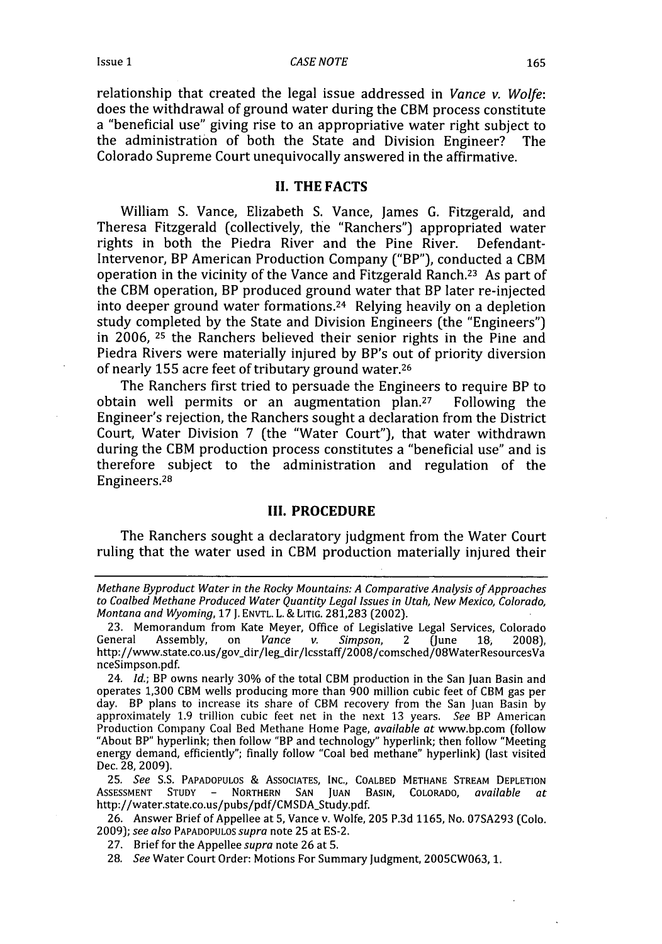relationship that created the legal issue addressed in *Vance v. Wolfe:* does the withdrawal of ground water during the CBM process constitute a "beneficial use" giving rise to an appropriative water right subject to the administration of both the State and Division Engineer? The Colorado Supreme Court unequivocally answered in the affirmative.

# *II.* **THE FACTS**

William **S.** Vance, Elizabeth **S.** Vance, James G. Fitzgerald, and Theresa Fitzgerald (collectively, the "Ranchers") appropriated water rights in both the Piedra River and the Pine River. Defendant-Intervenor, BP American Production Company ("BP"), conducted a CBM operation in the vicinity of the Vance and Fitzgerald Ranch.23 As part of the CBM operation, BP produced ground water that BP later re-injected into deeper ground water formations. 24 Relying heavily on a depletion study completed **by** the State and Division Engineers (the "Engineers") in **2006,** 25 the Ranchers believed their senior rights in the Pine and Piedra Rivers were materially injured **by** BP's out of priority diversion of nearly 155 acre feet of tributary ground water.<sup>26</sup>

The Ranchers first tried to persuade the Engineers to require BP to obtain well permits or an augmentation plan.27 Following the Engineer's rejection, the Ranchers sought a declaration from the District Court, Water Division 7 (the "Water Court"), that water withdrawn during the CBM production process constitutes a "beneficial use" and is therefore subject to the administration and regulation of the Engineers.<sup>28</sup>

#### **III. PROCEDURE**

The Ranchers sought a declaratory judgment from the Water Court ruling that the water used in CBM production materially injured their

**25.** *See* S.S. PAPADOPULOS & ASSOCIATES, INC., COALBED METHANE STREAM DEPLETION ASSESSMENT STUDY **-** NORTHERN **SAN** JUAN BASIN, COLORADO, *available* at http://water.state.co.us/pubs/pdf/CMSDA-Study.pdf.

**26.** Answer Brief of Appellee at **5,** Vance v. Wolfe, **205 P.3d 1165,** No. **07SA293** (Colo. **2009);** *see also* PAPADOPULOS *supra* note **25** at **ES-2.**

**27.** Brief for the Appellee *supra* note **26** at **5.**

28. *See* Water Court Order: Motions For Summary Judgment, **2005CW063, 1.**

*Methane Byproduct Water in the Rocky Mountains: A Comparative Analysis of Approaches to Coalbed Methane Produced Water Quantity Legal Issues in Utah, New Mexico, Colorado, Montana and Wyoming,* **17 J.** ENVTL. L. & **LITIG. 281,283** (2002).

<sup>23.</sup> Memorandum from Kate Meyer, Office of Legislative Legal Services, Colorado General Assembly, on *Vance v. Simpson*, 2 (June 18, 2008). Assembly, on *Vance v. Simpson*, 2 (June 18, 2008), http://www.state.co.us/gov dir/leg-dir/lcsstaff/2008/comsched/O8WaterResourcesVa nceSimpson.pdf.

<sup>24.</sup> *Id.;* BP owns nearly 30% of the total CBM production in the San Juan Basin and operates 1,300 CBM wells producing more than 900 million cubic feet of CBM gas per day. BP plans to increase its share of CBM recovery from the San Juan Basin by approximately 1.9 trillion cubic feet net in the next 13 years. *See* BP American Production Company Coal Bed Methane Home Page, *available at* www.bp.com (follow "About BP" hyperlink; then follow *"BP* and technology" hyperlink; then follow "Meeting energy demand, efficiently"; finally follow "Coal bed methane" hyperlink) (last visited Dec. 28, 2009).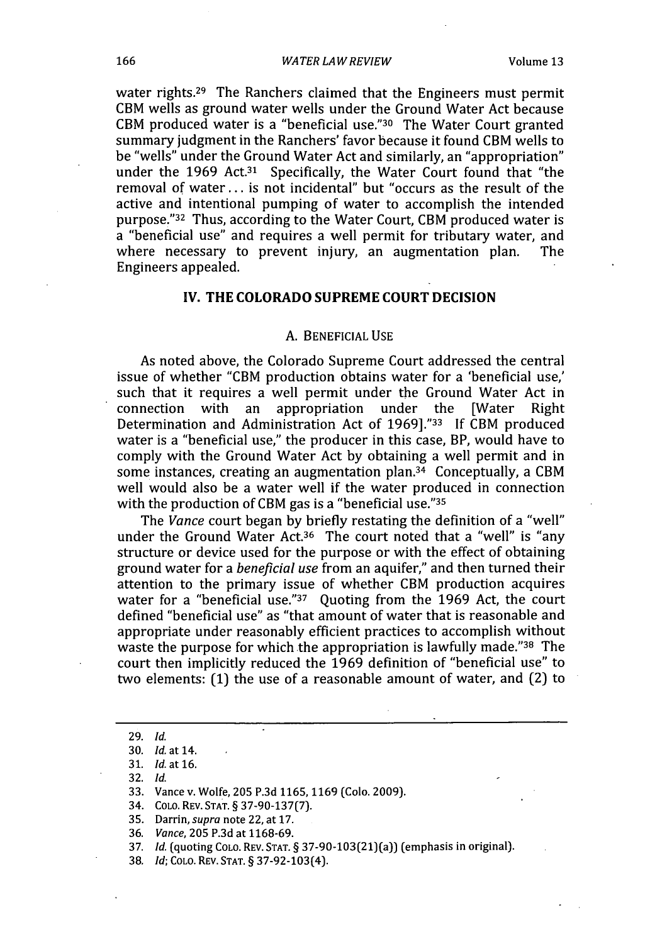#### *WATER LAW REVIEW*

water rights.<sup>29</sup> The Ranchers claimed that the Engineers must permit CBM wells as ground water wells under the Ground Water Act because CBM produced water is a "beneficial use."30 The Water Court granted summary judgment in the Ranchers' favor because it found CBM wells to be "wells" under the Ground Water Act and similarly, an "appropriation" under the 1969 Act.<sup>31</sup> Specifically, the Water Court found that "the removal of water.., is not incidental" but "occurs as the result of the active and intentional pumping of water to accomplish the intended purpose."32 Thus, according to the Water Court, CBM produced water is a "beneficial use" and requires a well permit for tributary water, and where necessary to prevent injury, an augmentation plan. The where necessary to prevent injury, an augmentation plan. Engineers appealed.

#### IV. **THE COLORADO SUPREME COURT DECISION**

## **A. BENEFICIAL USE**

As noted above, the Colorado Supreme Court addressed the central issue of whether "CBM production obtains water for a 'beneficial use,' such that it requires a well permit under the Ground Water Act in connection with an appropriation under the [Water Right connection with an appropriation under the [Water Right Determination and Administration Act of 1969]."33 If CBM produced water is a "beneficial use," the producer in this case, BP, would have to comply with the Ground Water Act by obtaining a well permit and in some instances, creating an augmentation plan.<sup>34</sup> Conceptually, a CBM well would also be a water well if the water produced in connection with the production of CBM gas is a "beneficial use."<sup>35</sup>

The *Vance* court began by briefly restating the definition of a "well" under the Ground Water Act.36 The court noted that a "well" is "any structure or device used for the purpose or with the effect of obtaining ground water for a *beneficial use* from an aquifer," and then turned their attention to the primary issue of whether CBM production acquires water for a "beneficial use."<sup>37</sup> Quoting from the 1969 Act, the court defined "beneficial use" as "that amount of water that is reasonable and appropriate under reasonably efficient practices to accomplish without waste the purpose for which the appropriation is lawfully made."38 The court then implicitly reduced the 1969 definition of "beneficial use" to two elements: (1) the use of a reasonable amount of water, and (2) to

32. *Id.*

<sup>29.</sup> *Id.*

<sup>30.</sup> *Id* at 14.

<sup>31.</sup> *Id* at 16.

<sup>33.</sup> Vance v. Wolfe, 205 P.3d **1165,** 1169 (Colo. 2009).

<sup>34.</sup> COLO. REV. STAT. § 37-90-137(7).

<sup>35.</sup> Darrin, *supra* note 22, at **17.**

<sup>36.</sup> *Vance,* 205 P.3d at 1168-69.

<sup>37.</sup> *Id.* (quoting COLO. REV. STAT. § 37-90-103(21)(a)) (emphasis in original).

<sup>38.</sup> *Id;* COLO. REV. STAT. § 37-92-103(4).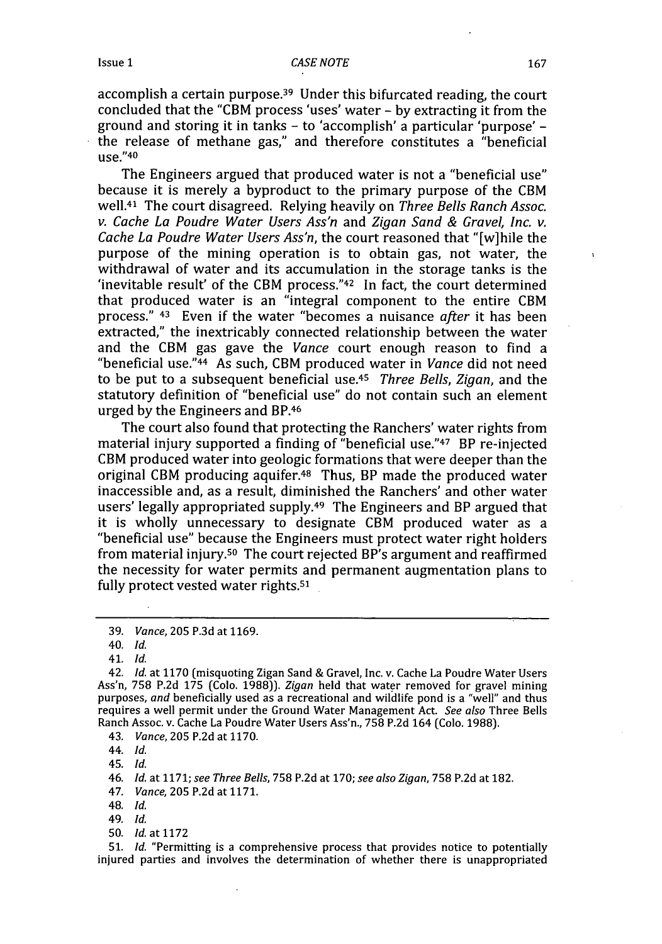accomplish a certain purpose.<sup>39</sup> Under this bifurcated reading, the court concluded that the "CBM process 'uses' water - by extracting it from the ground and storing it in tanks - to 'accomplish' a particular 'purpose' the release of methane gas," and therefore constitutes a "beneficial use."40

The Engineers argued that produced water is not a "beneficial use" because it is merely a byproduct to the primary purpose of the CBM well.41 The court disagreed. Relying heavily on *Three Bells Ranch Assoc. v. Cache La Poudre Water Users Ass'n* and *Zigan Sand & Gravel, Inc. v. Cache La Poudre Water Users Ass'n,* the court reasoned that "[w]hile the purpose of the mining operation is to obtain gas, not water, the withdrawal of water and its accumulation in the storage tanks is the 'inevitable result' of the CBM process."42 In fact, the court determined that produced water is an "integral component to the entire CBM process." 43 Even if the water "becomes a nuisance *after* it has been extracted," the inextricably connected relationship between the water and the CBM gas gave the *Vance* court enough reason to find a "beneficial use."44 As such, CBM produced water in *Vance* did not need to be put to a subsequent beneficial use.45 *Three Bells, Zigan,* and the statutory definition of "beneficial use" do not contain such an element urged by the Engineers and BP.46

The court also found that protecting the Ranchers' water rights from material injury supported a finding of "beneficial use."47 BP re-injected CBM produced water into geologic formations that were deeper than the original CBM producing aquifer.48 Thus, BP made the produced water inaccessible and, as a result, diminished the Ranchers' and other water users' legally appropriated supply.<sup>49</sup> The Engineers and BP argued that it is wholly unnecessary to designate CBM produced water as a "beneficial use" because the Engineers must protect water right holders from material injury.50 The court rejected BP's argument and reaffirmed the necessity for water permits and permanent augmentation plans to fully protect vested water rights.<sup>51</sup>

40. *Id.*

41. *Id.*

42. *Id.* at 1170 (misquoting Zigan Sand & Gravel, Inc. v. Cache La Poudre Water Users Ass'n, 758 P.2d 175 (Colo. 1988)). *Zigan* held that water removed for gravel mining purposes, *and* beneficially used as a recreational and wildlife pond is a "well" and thus requires a well permit under the Ground Water Management Act. *See also* Three Bells Ranch Assoc. v. Cache La Poudre Water Users Ass'n., 758 P.2d 164 (Colo. 1988).

43. *Vance,* 205 P.2d at 1170.

44. *Id.*

45. *Id.*

46. *Id.* at 1171; *see Three Bells,* 758 **P.2d** at 170; *see also Zigan,* **758 P.2d** at **182.**

47. *Vance,* 205 **P.2d** at 1171.

48. *Id.*

49. *Id.*

50. *Id.* at 1172

**51.** *Id.* "Permitting is a comprehensive process that provides notice to potentially injured parties and involves the determination of whether there is unappropriated

<sup>39.</sup> *Vance,* 205 P.3d at 1169.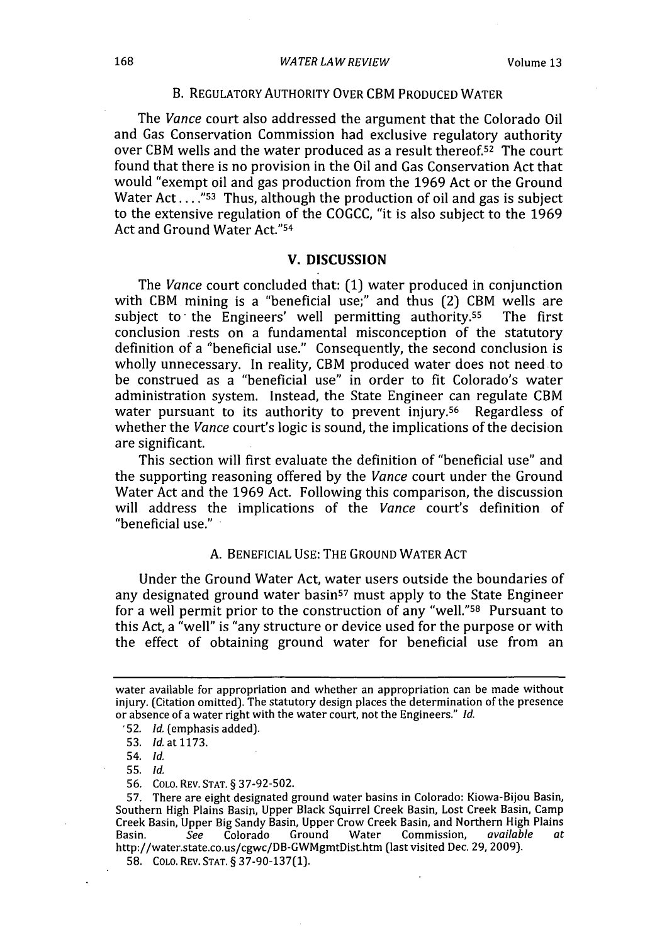#### *WATER LAWREVIEW*

# B. REGULATORY AUTHORITY OVER CBM **PRODUCED** WATER

The *Vance* court also addressed the argument that the Colorado Oil and Gas Conservation Commission had exclusive regulatory authority over CBM wells and the water produced as a result thereof.<sup>52</sup> The court found that there is no provision in the Oil and Gas Conservation Act that would "exempt oil and gas production from the **1969** Act or the Ground Water Act....<sup>"53</sup> Thus, although the production of oil and gas is subject to the extensive regulation of the **COGCC,** "it is also subject to the **1969** Act and Ground Water Act."<sup>54</sup>

# **V. DISCUSSION**

The *Vance* court concluded that: **(1)** water produced in conjunction with CBM mining is a "beneficial use;" and thus (2) CBM wells are subject to the Engineers' well permitting authority.<sup>55</sup> The first conclusion rests on a fundamental misconception of the statutory definition of a "beneficial use." Consequently, the second conclusion is wholly unnecessary. In reality, CBM produced water does not need to be construed as a "beneficial use" in order to fit Colorado's water administration system. Instead, the State Engineer can regulate CBM water pursuant to its authority to prevent injury.<sup>56</sup> Regardless of whether the *Vance* court's logic is sound, the implications of the decision are significant.

This section will first evaluate the definition of "beneficial use" and the supporting reasoning offered **by** the *Vance* court under the Ground Water Act and the **1969** Act. Following this comparison, the discussion will address the implications of the *Vance* court's definition of "beneficial use."

# **A. BENEFICIAL USE:** THE **GROUND** WATER **ACT**

Under the Ground Water Act, water users outside the boundaries of any designated ground water basin<sup>57</sup> must apply to the State Engineer for a well permit prior to the construction of any "well."<sup>58</sup> Pursuant to this Act, a "well" is "any structure or device used for the purpose or with the effect of obtaining ground water for beneficial use from an

**55.** *Id.*

water available for appropriation and whether an appropriation can be made without injury. (Citation omitted). The statutory design places the determination of the presence or absence of a water right with the water court, not the Engineers." *Id.*

<sup>&#</sup>x27;52. *Id.* (emphasis added).

**<sup>53.</sup>** *Id.* at **1173.**

<sup>54.</sup> *Id.*

**<sup>56.</sup> COLO.** REV. **STAT. § 37-92-502.**

**<sup>57.</sup>** There are eight designated ground water basins in Colorado: Kiowa-Bijou Basin, Southern High Plains Basin, Upper Black Squirrel Creek Basin, Lost Creek Basin, Camp Creek Basin, Upper Big Sandy Basin, Upper Crow Creek Basin, and Northern High Plains Basin. *See* Colorado Ground Water Commission, *available at* http://water.state.co.us/cgwc/DB-GWMgmtDist.htm (last visited Dec. **29, 2009).**

**<sup>58.</sup> COLO.** REV. **STAT. § 37-90-137(1).**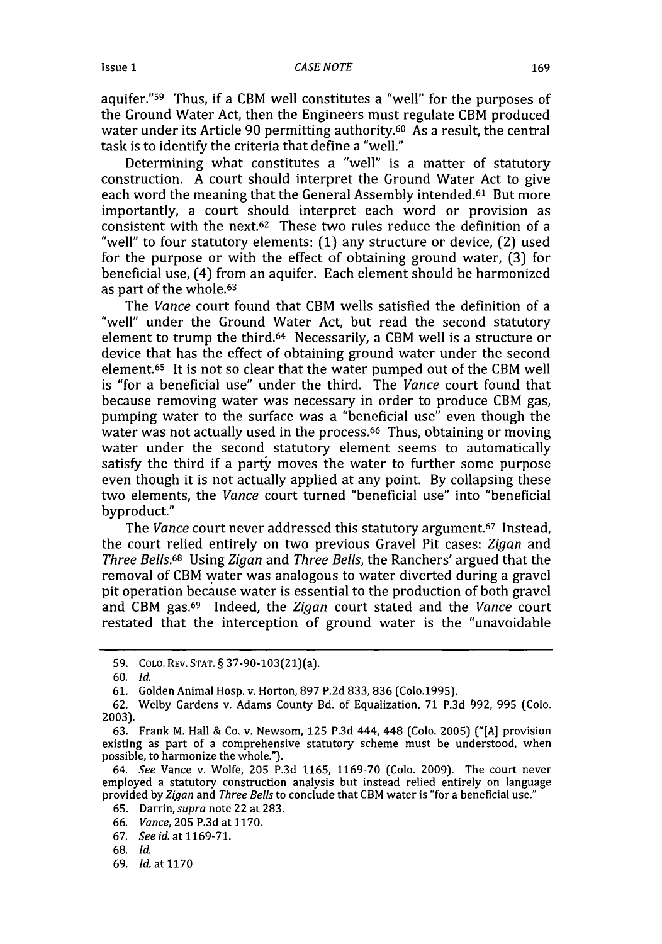aquifer."<sup>59</sup> Thus, if a CBM well constitutes a "well" for the purposes of the Ground Water Act, then the Engineers must regulate CBM produced water under its Article 90 permitting authority.<sup>60</sup> As a result, the central task is to identify the criteria that define a "well."

Determining what constitutes a "well" is a matter of statutory construction. A court should interpret the Ground Water Act to give each word the meaning that the General Assembly intended.<sup>61</sup> But more importantly, a court should interpret each word or provision as consistent with the next.62 These two rules reduce the definition of a "well" to four statutory elements: (1) any structure or device, (2) used for the purpose or with the effect of obtaining ground water, (3) for beneficial use, (4) from an aquifer. Each element should be harmonized as part of the whole.<sup>63</sup>

The *Vance* court found that CBM wells satisfied the definition of a "well" under the Ground Water Act, but read the second statutory element to trump the third.64 Necessarily, a CBM well is a structure or device that has the effect of obtaining ground water under the second element.65 It is not so clear that the water pumped out of the CBM well is "for a beneficial use" under the third. The *Vance* court found that because removing water was necessary in order to produce CBM gas, pumping water to the surface was a "beneficial use" even though the water was not actually used in the process.<sup>66</sup> Thus, obtaining or moving water under the second statutory element seems to automatically satisfy the third if a party moves the water to further some purpose even though it is not actually applied at any point. By collapsing these two elements, the *Vance* court turned "beneficial use" into "beneficial byproduct."

The *Vance* court never addressed this statutory argument.67 Instead, the court relied entirely on two previous Gravel Pit cases: *Zigan* and *Three Bells.68* Using *Zigan* and *Three Bells,* the Ranchers' argued that the removal of CBM water was analogous to water diverted during a gravel pit operation because water is essential to the production of both gravel and CBM gas.69 Indeed, the *Zigan* court stated and the *Vance* court restated that the interception of ground water is the "unavoidable

<sup>59.</sup> COLO. REV. STAT. § 37-90-103(21)(a).

<sup>60.</sup> *Id.*

<sup>61.</sup> Golden Animal Hosp. v. Horton, 897 P.2d 833, 836 (Colo.1995).

<sup>62.</sup> Welby Gardens v. Adams County Bd. of Equalization, 71 P.3d 992, 995 (Colo. 2003).

<sup>63.</sup> Frank M. Hall & Co. v. Newsom, 125 P.3d 444, 448 (Colo. 2005) ("[A] provision existing as part of a comprehensive statutory scheme must be understood, when possible, to harmonize the whole.").

<sup>64.</sup> *See* Vance v. Wolfe, 205 P.3d 1165, 1169-70 (Colo. 2009). The court never employed a statutory construction analysis but instead relied entirely on language provided by *Zigan* and *Three Bells* to conclude that CBM water is "for a beneficial use."

<sup>65.</sup> Darrin, supra note 22 at 283.

<sup>66.</sup> *Vance,* **205** P.3d at 1170.

<sup>67.</sup> *See id.* at 1169-71.

<sup>68.</sup> *Id.*

<sup>69.</sup> *Id.* at **1170**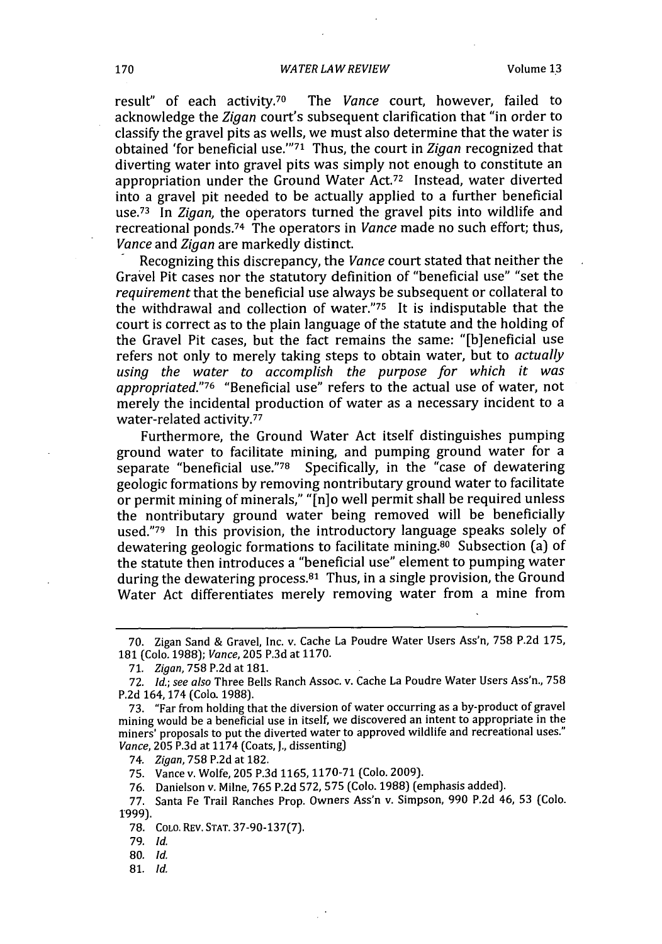result" of each activity.70 The *Vance* court, however, failed to acknowledge the *Zigan* court's subsequent clarification that "in order to classify the gravel pits as wells, we must also determine that the water is obtained 'for beneficial use."<sup>71</sup> Thus, the court in *Zigan* recognized that diverting water into gravel pits was simply not enough to constitute an appropriation under the Ground Water Act.72 Instead, water diverted into a gravel pit needed to be actually applied to a further beneficial use.<sup>73</sup> In *Zigan*, the operators turned the gravel pits into wildlife and recreational ponds.74 The operators in *Vance* made no such effort; thus, *Vance* and *Zigan* are markedly distinct.

Recognizing this discrepancy, the *Vance* court stated that neither the Gravel Pit cases nor the statutory definition of "beneficial use" "set the *requirement* that the beneficial use always be subsequent or collateral to the withdrawal and collection of water."75 It is indisputable that the court is correct as to the plain language of the statute and the holding of the Gravel Pit cases, but the fact remains the same: "[b]eneficial use refers not only to merely taking steps to obtain water, but to *actually using the water to accomplish the purpose for which it was appropriated."76* "Beneficial use" refers to the actual use of water, not merely the incidental production of water as a necessary incident to a water-related activity.<sup>77</sup>

Furthermore, the Ground Water Act itself distinguishes pumping ground water to facilitate mining, and pumping ground water for a separate "beneficial use."78 Specifically, in the "case of dewatering geologic formations by removing nontributary ground water to facilitate or permit mining of minerals," "[n]o well permit shall be required unless the nontributary ground water being removed will be beneficially used."79 In this provision, the introductory language speaks solely of dewatering geologic formations to facilitate mining.<sup>80</sup> Subsection (a) of the statute then introduces a "beneficial use" element to pumping water during the dewatering process.81 Thus, in a single provision, the Ground Water Act differentiates merely removing water from a mine from

81. *Id.*

<sup>70.</sup> Zigan Sand & Gravel, Inc. v. Cache La Poudre Water Users Ass'n, **758** P.2d 175, 181 (Colo. 1988); *Vance,* **205** P.3d at 1170.

**<sup>71.</sup>** *Zigan,* 758 P.2d at **181.**

<sup>72.</sup> *Id.; see also* Three Bells Ranch Assoc. v. Cache La Poudre Water Users Ass'n., 758 P.2d 164, 174 (Colo. 1988).

<sup>73. &</sup>quot;Far from holding that the diversion of water occurring as a by-product of gravel mining would be a beneficial use in itself, we discovered an intent to appropriate in the miners' proposals to put the diverted water to approved wildlife and recreational uses." *Vance,* **205** P.3d at 1174 (Coats, J., dissenting)

<sup>74.</sup> Zigan, **758** P.2d at 182.

**<sup>75.</sup>** Vance v. Wolfe, 205 P.3d **1165,** 1170-71 (Colo. 2009).

<sup>76.</sup> Danielson v. Milne, 765 P.2d 572, **575** (Colo. 1988) (emphasis added).

<sup>77.</sup> Santa Fe Trail Ranches Prop. Owners Ass'n v. Simpson, 990 P.2d 46, **53** (Colo. 1999).

<sup>78.</sup> COLO. REv. STAT. 37-90-137(7).

<sup>79.</sup> *Id.*

**<sup>80.</sup>** *Id.*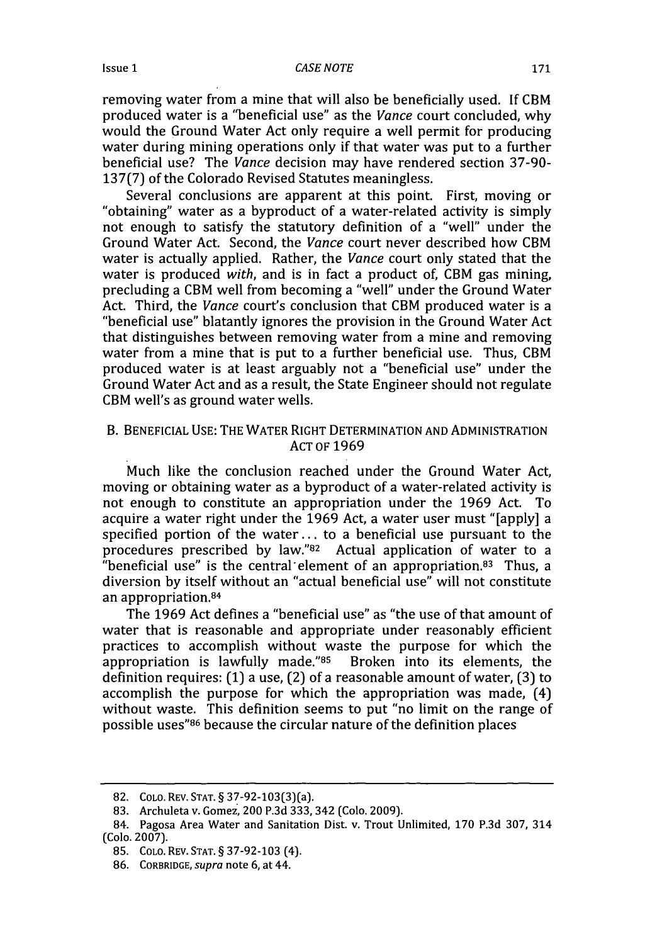Issue **1**

removing water from a mine that will also be beneficially used. If CBM produced water is a "beneficial use" as the *Vance* court concluded, why would the Ground Water Act only require a well permit for producing water during mining operations only if that water was put to a further beneficial use? The *Vance* decision may have rendered section 37-90- 137(7) of the Colorado Revised Statutes meaningless.

Several conclusions are apparent at this point. First, moving or "obtaining" water as a byproduct of a water-related activity is simply not enough to satisfy the statutory definition of a "well" under the Ground Water Act. Second, the *Vance* court never described how CBM water is actually applied. Rather, the *Vance* court only stated that the water is produced *with,* and is in fact a product of, CBM gas mining, precluding a CBM well from becoming a "well" under the Ground Water Act. Third, the *Vance* court's conclusion that CBM produced water is a "beneficial use" blatantly ignores the provision in the Ground Water Act that distinguishes between removing water from a mine and removing water from a mine that is put to a further beneficial use. Thus, CBM produced water is at least arguably not a "beneficial use" under the Ground Water Act and as a result, the State Engineer should not regulate CBM well's as ground water wells.

# B. BENEFICIAL USE: THE WATER RIGHT DETERMINATION AND ADMINISTRATION ACT OF 1969

Much like the conclusion reached under the Ground Water Act, moving or obtaining water as a byproduct of a water-related activity is not enough to constitute an appropriation under the 1969 Act. To acquire a water right under the 1969 Act, a water user must "[apply] a specified portion of the water.., to a beneficial use pursuant to the procedures prescribed by law." $82$  Actual application of water to a "beneficial use" is the central'element of an appropriation.83 Thus, a diversion by itself without an "actual beneficial use" will not constitute an appropriation. <sup>84</sup>

The 1969 Act defines a "beneficial use" as "the use of that amount of water that is reasonable and appropriate under reasonably efficient practices to accomplish without waste the purpose for which the appropriation is lawfully made."85 Broken into its elements, the definition requires: (1) a use, (2) of a reasonable amount of water, (3) to accomplish the purpose for which the appropriation was made, (4) without waste. This definition seems to put "no limit on the range of possible uses" 86 because the circular nature of the definition places

<sup>82.</sup> COLO. REV. STAT. § 37-92-103(3)(a).

<sup>83.</sup> Archuleta v. Gomez, 200 P.3d 333, 342 (Colo. 2009).

<sup>84.</sup> Pagosa Area Water and Sanitation Dist. v. Trout Unlimited, 170 P.3d 307, 314 (Colo. 2007).

<sup>85.</sup> COLo. REv. STAT. § 37-92-103 (4).

<sup>86.</sup> CORBRIDGE, supra note 6, at 44.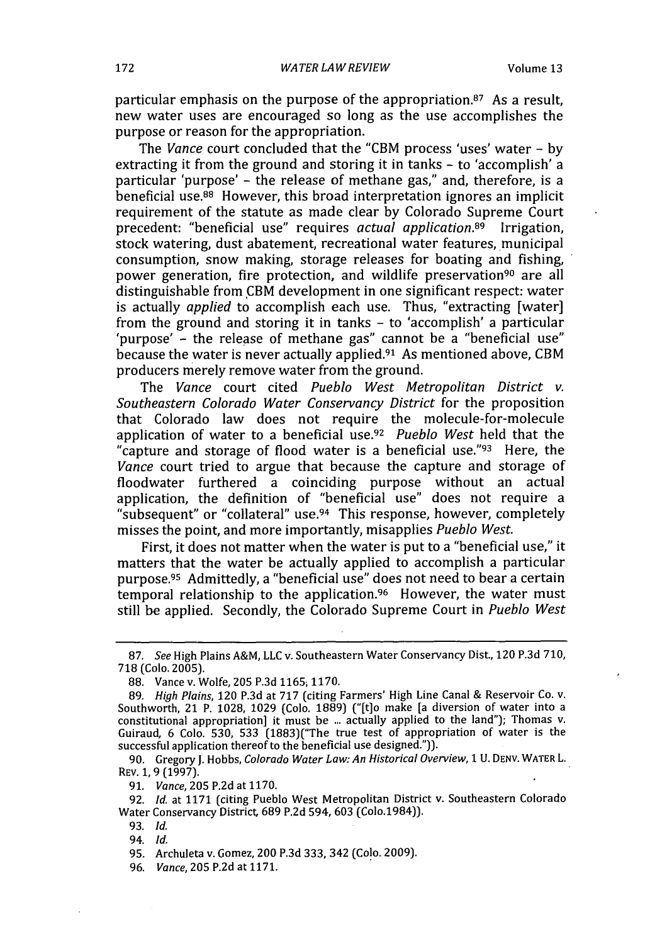particular emphasis on the purpose of the appropriation. 87 As a result, new water uses are encouraged so long as the use accomplishes the purpose or reason for the appropriation.

The *Vance* court concluded that the "CBM process 'uses' water - **by** extracting it from the ground and storing it in tanks - to 'accomplish' a particular 'purpose' - the release of methane gas," and, therefore, is a beneficial use.88 However, this broad interpretation ignores an implicit requirement of the statute as made clear **by** Colorado Supreme Court precedent: "beneficial use" requires *actual application.89* Irrigation, stock watering, dust abatement, recreational water features, municipal consumption, snow making, storage releases for boating and fishing, power generation, fire protection, and wildlife preservation<sup>90</sup> are all distinguishable from CBM development in one significant respect: water is actually *applied* to accomplish each use. Thus, "extracting [water] from the ground and storing it in tanks - to 'accomplish' a particular 'purpose' - the release of methane gas" cannot be a "beneficial use" because the water is never actually applied.91 As mentioned above, CBM producers merely remove water from the ground.

The *Vance* court cited *Pueblo West Metropolitan District v. Southeastern Colorado Water Conservancy District* for the proposition that Colorado law does not require the molecule-for-molecule application of water to a beneficial use.<sup>92</sup> Pueblo West held that the "capture and storage of flood water is a beneficial use."93 Here, the *Vance* court tried to argue that because the capture and storage of floodwater furthered a coinciding purpose without an actual application, the definition of "beneficial use" does not require a "subsequent" or "collateral" use.<sup>94</sup> This response, however, completely misses the point, and more importantly, misapplies *Pueblo West.*

First, it does not matter when the water is put to a "beneficial use," it matters that the water be actually applied to accomplish a particular purpose.95 Admittedly, a "beneficial use" does not need to bear a certain temporal relationship to the application.<sup>96</sup> However, the water must still be applied. Secondly, the Colorado Supreme Court in *Pueblo West*

90. Gregory **J.** Hobbs, *Colorado Water Law: An Historical Overview,* **1** U. DENV. WATER L. REV. **1,** 9 (1997).

92. *Id.* at **1171** (citing Pueblo West Metropolitan District v. Southeastern Colorado Water Conservancy District, 689 P.2d 594, 603 (Colo.1984)).

**95.** Archuleta v. Gomez, 200 P.3d 333, 342 (Colo. 2009).

96. *Vance,* **205** P.2d at 1171.

<sup>87.</sup> *See* High Plains A&M, LLC v. Southeastern Water Conservancy Dist., 120 P.3d 710, 718 (Colo. 2005).

<sup>88.</sup> Vance v. Wolfe, 205 P.3d 1165, 1170.

<sup>89.</sup> *High Plains,* 120 P.3d at 717 (citing Farmers' High Line Canal & Reservoir Co. v. Southworth, 21 P. 1028, 1029 (Colo. 1889) ("[t]o make [a diversion of water into a constitutional appropriation] it must be ... actually applied to the land"); Thomas v. Guiraud, 6 Colo. 530, 533 (1883)("The true test of appropriation of water is the successful application thereof to the beneficial use designed.")).

**<sup>91.</sup>** *Vance,* 205 P.2d at 1170.

<sup>93.</sup> *Id.*

<sup>94.</sup> *Id.*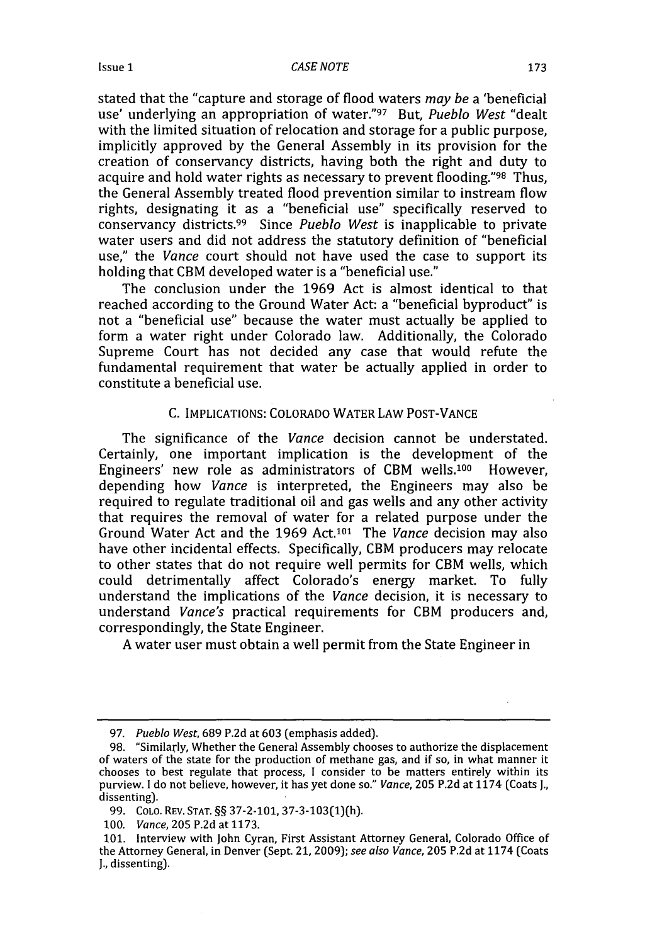stated that the "capture and storage of flood waters *may be* a 'beneficial use' underlying an appropriation of water."97 But, *Pueblo West* "dealt with the limited situation of relocation and storage for a public purpose. implicitly approved by the General Assembly in its provision for the creation of conservancy districts, having both the right and duty to acquire and hold water rights as necessary to prevent flooding."98 Thus, the General Assembly treated flood prevention similar to instream flow rights, designating it as a "beneficial use" specifically reserved to conservancy districts.99 Since *Pueblo West* is inapplicable to private water users and did not address the statutory definition of "beneficial use," the *Vance* court should not have used the case to support its holding that CBM developed water is a "beneficial use."

The conclusion under the 1969 Act is almost identical to that reached according to the Ground Water Act: a "beneficial byproduct" is not a "beneficial use" because the water must actually be applied to form a water right under Colorado law. Additionally, the Colorado Supreme Court has not decided any case that would refute the fundamental requirement that water be actually applied in order to constitute a beneficial use.

# C. IMPLICATIONS: COLORADO WATER LAW POST-VANCE

The significance of the *Vance* decision cannot be understated. Certainly, one important implication is the development of the Engineers' new role as administrators of CBM wells.100 However, depending how *Vance* is interpreted, the Engineers may also be required to regulate traditional oil and gas wells and any other activity that requires the removal of water for a related purpose under the Ground Water Act and the 1969 Act. 101 The *Vance* decision may also have other incidental effects. Specifically, CBM producers may relocate to other states that do not require well permits for CBM wells, which could detrimentally affect Colorado's energy market. To fully understand the implications of the *Vance* decision, it is necessary to understand *Vance's* practical requirements for CBM producers and, correspondingly, the State Engineer.

A water user must obtain a well permit from the State Engineer in

*<sup>97.</sup> Pueblo West,* 689 P.2d at **603** (emphasis added).

<sup>98. &</sup>quot;Similarly, Whether the General Assembly chooses to authorize the displacement of waters of the state for the production of methane gas, and if so, in what manner it chooses to best regulate that process, I consider to be matters entirely within its purview. I do not believe, however, it has yet done so." *Vance,* 205 P.2d at 1174 (Coats **J.,** dissenting).

**<sup>99.</sup> COLO.** REV. **STAT.** §§ **37-2-101,** 37-3-103(1)(h).

<sup>100.</sup> *Vance,* 205 P.2d at 1173.

<sup>101.</sup> Interview with John Cyran, First Assistant Attorney General, Colorado Office of the Attorney General, in Denver (Sept. 21, 2009); *see also Vance,* 205 P.2d at 1174 (Coats **J.,** dissenting).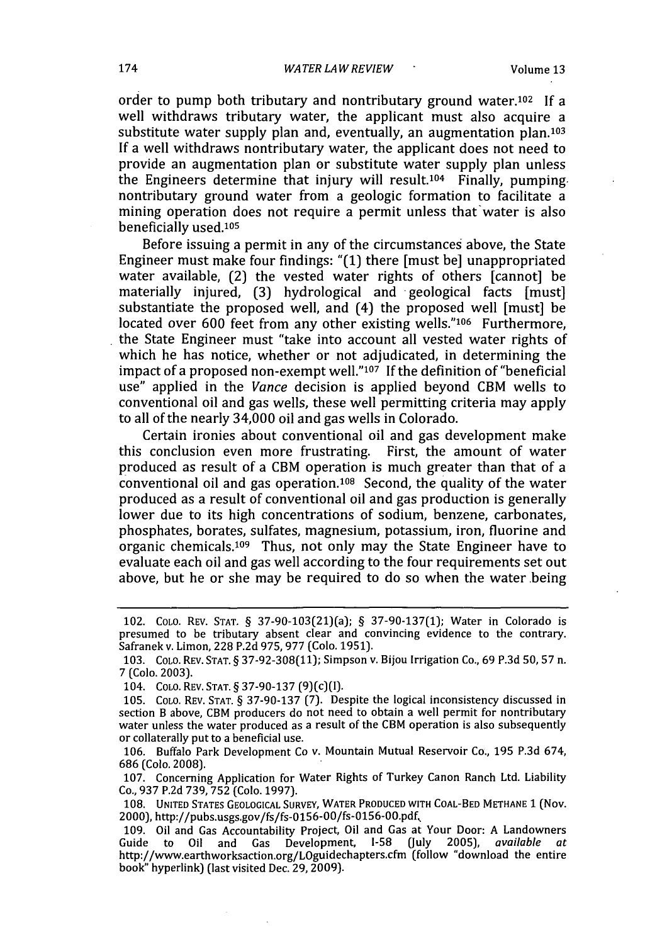order to pump both tributary and nontributary ground water.102 If a well withdraws tributary water, the applicant must also acquire a substitute water supply plan and, eventually, an augmentation plan.<sup>103</sup> **If** a well withdraws nontributary water, the applicant does not need to provide an augmentation plan or substitute water supply plan unless the Engineers determine that injury will result.104 Finally, pumping. nontributary ground water from a geologic formation to facilitate a mining operation does not require a permit unless that water is also beneficially used.105

Before issuing a permit in any of the circumstances above, the State Engineer must make four findings: "(1) there [must be] unappropriated water available, (2) the vested water rights of others [cannot] be materially injured, (3) hydrological and geological facts [must] substantiate the proposed well, and (4) the proposed well [must] be located over 600 feet from any other existing wells."<sup>106</sup> Furthermore, the State Engineer must "take into account all vested water rights of which he has notice, whether or not adjudicated, in determining the impact of a proposed non-exempt well."<sup>107</sup> If the definition of "beneficial use" applied in the *Vance* decision is applied beyond CBM wells to conventional oil and gas wells, these well permitting criteria may apply to all of the nearly 34,000 oil and gas wells in Colorado.

Certain ironies about conventional oil and gas development make this conclusion even more frustrating. First, the amount of water produced as result of a CBM operation is much greater than that of a conventional oil and gas operation.108 Second, the quality of the water produced as a result of conventional oil and gas production is generally lower due to its high concentrations of sodium, benzene, carbonates, phosphates, borates, sulfates, magnesium, potassium, iron, fluorine and organic chemicals.<sup>109</sup> Thus, not only may the State Engineer have to evaluate each oil and gas well according to the four requirements set out above, but he or she may be required to do so when the water being

<sup>102.</sup> COLO. REV. STAT. § 37-90-103(21)(a); § 37-90-137(1); Water in Colorado is presumed to be tributary absent clear and convincing evidence to the contrary. Safranek v. Limon, 228 P.2d 975, 977 (Colo. 1951).

**<sup>103.</sup>** COLO. REV. **STAT.** § 37-92-308(11); Simpson v. Bijou Irrigation Co., 69 P.3d **50, 57** n. *7* (Colo. 2003).

<sup>104.</sup> COLO. REV. **STAT.** § 37-90-137 (9)(c)(1).

<sup>105.</sup> COLO. REV. STAT. § 37-90-137 (7). Despite the logical inconsistency discussed in section B above, CBM producers do not need to obtain a well permit for nontributary water unless the water produced as a result of the CBM operation is also subsequently or collaterally put to a beneficial use.

<sup>106.</sup> Buffalo Park Development Co v. Mountain Mutual Reservoir Co., **195** P.3d 674, 686 (Colo. 2008).

<sup>107.</sup> Concerning Application for Water Rights of Turkey Canon Ranch Ltd. Liability Co., 937 P.2d 739, **752** (Colo. 1997).

<sup>108.</sup> **UNITED STATES GEOLOGICAL SURVEY, WATER PRODUCED** WITH **COAL-BED METHANE** 1 (Nov. 2000), http://pubs.usgs.gov/fs/fs-0156-00/fs-0156-00.pdf,

<sup>109.</sup> Oil and Gas Accountability Project, Oil and Gas at Your Door: **A** Landowners Guide to Oil and Gas Development, 1-58 (July 2005), *available at* http://www.earthworksaction.org/LOguidechapters.cfm (follow "download the entire book" hyperlink) (last visited Dec. 29, 2009).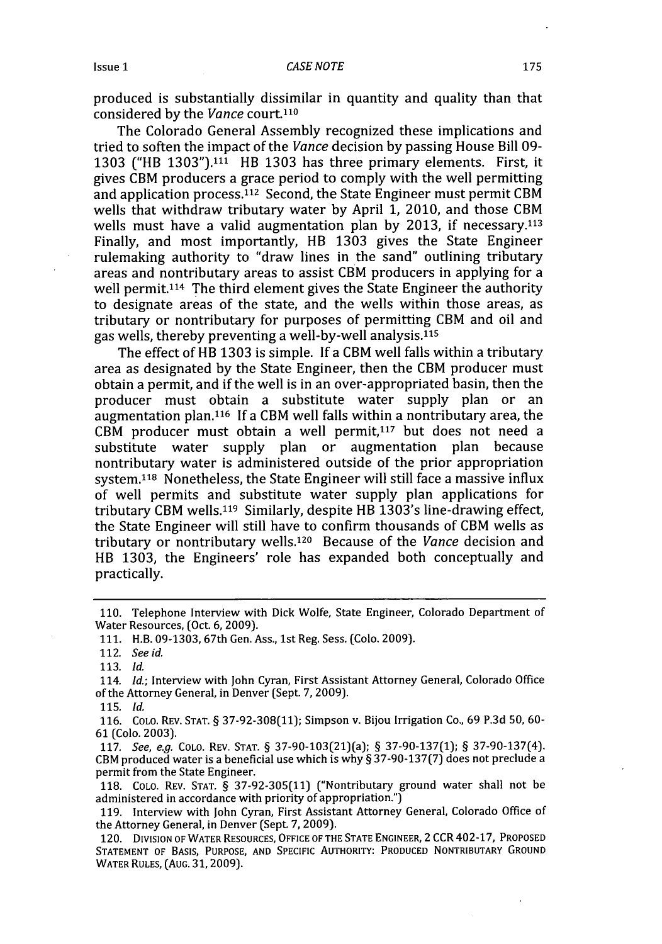produced is substantially dissimilar in quantity and quality than that considered by the *Vance* court.110

The Colorado General Assembly recognized these implications and tried to soften the impact of the *Vance* decision by passing House Bill 09- 1303 ("HB 1303"). $111$  HB 1303 has three primary elements. First, it gives CBM producers a grace period to comply with the well permitting and application process. 112 Second, the State Engineer must permit CBM wells that withdraw tributary water by April 1, 2010, and those CBM wells must have a valid augmentation plan by 2013, if necessary. $113$ Finally, and most importantly, HB 1303 gives the State Engineer rulemaking authority to "draw lines in the sand" outlining tributary areas and nontributary areas to assist CBM producers in applying for a well permit.<sup>114</sup> The third element gives the State Engineer the authority to designate areas of the state, and the wells within those areas, as tributary or nontributary for purposes of permitting CBM and oil and gas wells, thereby preventing a well-by-well analysis.<sup>115</sup>

The effect of RB 1303 is simple. **If** a CBM well falls within a tributary area as designated by the State Engineer, then the CBM producer must obtain a permit, and if the well is in an over-appropriated basin, then the producer must obtain a substitute water supply plan or an augmentation plan.<sup>116</sup> If a CBM well falls within a nontributary area, the  $CBM$  producer must obtain a well permit, $117$  but does not need a substitute water supply plan or augmentation plan because nontributary water is administered outside of the prior appropriation system.<sup>118</sup> Nonetheless, the State Engineer will still face a massive influx of well permits and substitute water supply plan applications for tributary CBM wells.119 Similarly, despite HB 1303's line-drawing effect, the State Engineer will still have to confirm thousands of CBM wells as tributary or nontributary wells. 120 Because of the *Vance* decision and HB 1303, the Engineers' role has expanded both conceptually and practically.

118. COLO. REV. STAT. § 37-92-305(11) ("Nontributary ground water shall not be administered in accordance with priority of appropriation.")

<sup>110.</sup> Telephone Interview with Dick Wolfe, State Engineer, Colorado Department of Water Resources, (Oct. 6, 2009).

**<sup>111.</sup>** H.B. 09-1303, 67th Gen. Ass., 1st Reg. Sess. (Colo. 2009).

<sup>112.</sup> See *id.*

**<sup>113.</sup>** *Id.*

<sup>114.</sup> *Id.;* Interview with John Cyran, First Assistant Attorney General, Colorado Office of the Attorney General, in Denver (Sept. 7, 2009).

**<sup>115.</sup>** *Id.*

**<sup>116.</sup>** COLO. REV. **STAT.** § 37-92-308(11); Simpson v. Bijou Irrigation Co., 69 P.3d 50, **60- 61** (Colo. 2003).

<sup>117.</sup> See, e.g. COLO. REV. **STAT.** § 37-90-103(21)(a); § 37-90-137(1); § 37-90-137(4). CBM produced water is a beneficial use which is why § 37-90-137(7) does not preclude a permit from the State Engineer.

<sup>119.</sup> Interview with John Cyran, First Assistant Attorney General, Colorado Office of the Attorney General, in Denver (Sept. 7, 2009).

<sup>120.</sup> DIvIsIoN **OF WATER RESOURCES, OFFICE OF THE STATE ENGINEER,** 2 CCR 402-17, PROPOSED **STATEMENT** OF BASIS, PURPOSE, AND SPECIFIC AUTHORITY: PRODUCED NONTRIBUTARY GROUND WATER RULES, (AUG. 31,2009).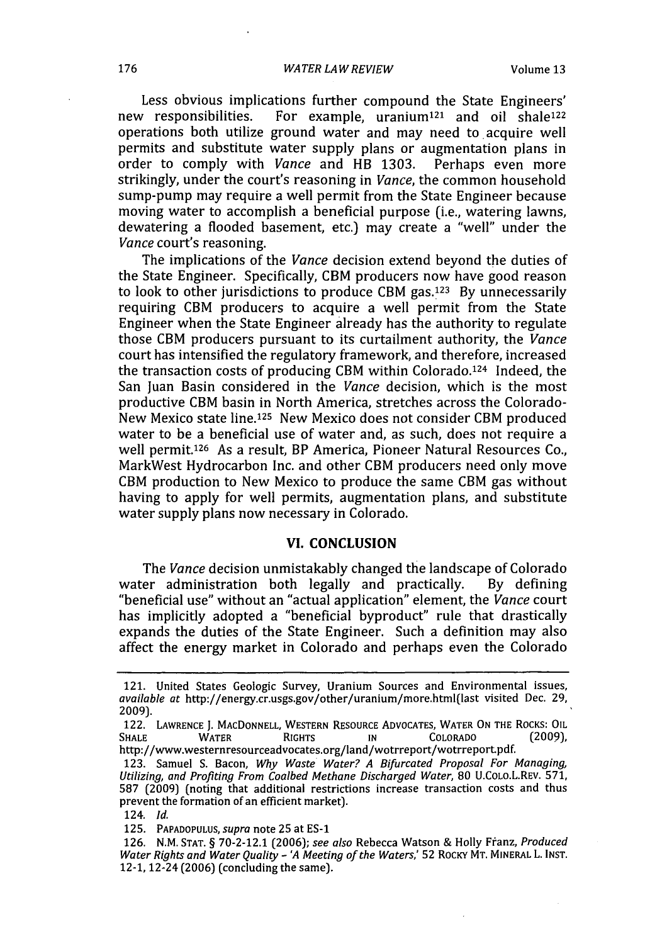Less obvious implications further compound the State Engineers'<br>new responsibilities. For example, uranium<sup>121</sup> and oil shale<sup>122</sup> For example, uranium<sup>121</sup> and oil shale<sup>122</sup> operations both utilize ground water and may need to acquire well permits and substitute water supply plans or augmentation plans in order to comply with *Vance* and HB 1303. Perhaps even more strikingly, under the court's reasoning in *Vance,* the common household sump-pump may require a well permit from the State Engineer because moving water to accomplish a beneficial purpose (i.e., watering lawns, dewatering a flooded basement, etc.) may create a "well" under the *Vance* court's reasoning.

The implications of the *Vance* decision extend beyond the duties of the State Engineer. Specifically, CBM producers now have good reason to look to other jurisdictions to produce CBM gas.<sup>123</sup> By unnecessarily requiring CBM producers to acquire a well permit from the State Engineer when the State Engineer already has the authority to regulate those CBM producers pursuant to its curtailment authority, the *Vance* court has intensified the regulatory framework, and therefore, increased the transaction costs of producing CBM within Colorado.<sup>124</sup> Indeed, the San Juan Basin considered in the *Vance* decision, which is the most productive CBM basin in North America, stretches across the Colorado-New Mexico state line.125 New Mexico does not consider CBM produced water to be a beneficial use of water and, as such, does not require a well permit.126 As a result, BP America, Pioneer Natural Resources Co., MarkWest Hydrocarbon Inc. and other CBM producers need only move CBM production to New Mexico to produce the same CBM gas without having to apply for well permits, augmentation plans, and substitute water supply plans now necessary in Colorado.

# VI. **CONCLUSION**

The *Vance* decision unmistakably changed the landscape of Colorado<br>
er administration both legally and practically. By defining water administration both legally and practically. "beneficial use" without an "actual application" element, the *Vance* court has implicitly adopted a "beneficial byproduct" rule that drastically expands the duties of the State Engineer. Such a definition may also affect the energy market in Colorado and perhaps even the Colorado

<sup>121.</sup> United States Geologic Survey, Uranium Sources and Environmental issues, *available at* http://energy.cr.usgs.gov/other/uranium/more.html(last visited Dec. 29, 2009).

<sup>122.</sup> LAWRENCE **J.** MACDONNELL, WESTERN RESOURCE **ADVOCATES,** WATER **ON** THE ROCKS: OIL SHALE WATER RIGHTS IN COLORADO (2009), http://www.westernresourceadvocates.org/land/wotrreport/wotrreport.pdf.

<sup>123.</sup> Samuel S. Bacon, *Why Waste Water? A Bifurcated Proposal For Managing, Utilizing, and Profiting From Coalbed Methane Discharged Water,* 80 U.COLo.L.REV. **571, 587** (2009) (noting that additional restrictions increase transaction costs and thus prevent the formation of an efficient market).

<sup>124.</sup> *Id.*

<sup>125.</sup> PAPADOPULUS, *supra* note 25 at ES-1

<sup>126.</sup> N.M. STAT. § **70-2-12.1** (2006); *see also* Rebecca Watson & Holly Ffanz, *Produced Water Rights and Water Quality* **-** *'A Meeting of the Waters,'* **52** ROCKY MT. MINERAL L. **INST.** 12-1, 12-24 (2006) (concluding the same).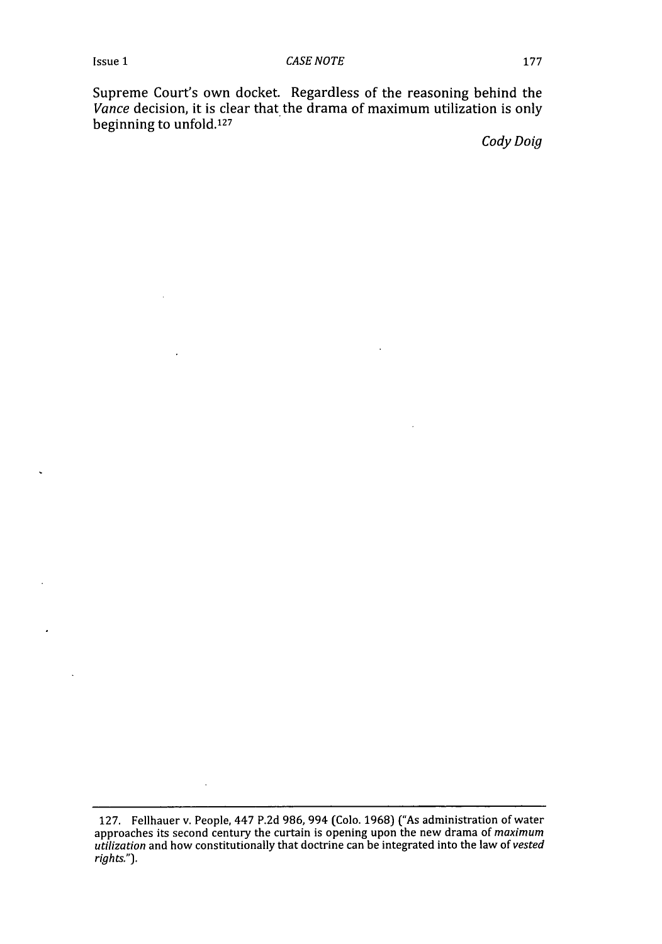Supreme Court's own docket. Regardless of the reasoning behind the *Vance* decision, it is clear that the drama of maximum utilization is only beginning to unfold.<sup>127</sup>

*Cody Doig*

<sup>127.</sup> Fellhauer v. People, 447 P.2d 986, 994 (Colo. 1968) ("As administration of water approaches its second century the curtain is opening upon the new drama of maximum *utilization* and how constitutionally that doctrine can be integrated into the law of *vested* rights.").